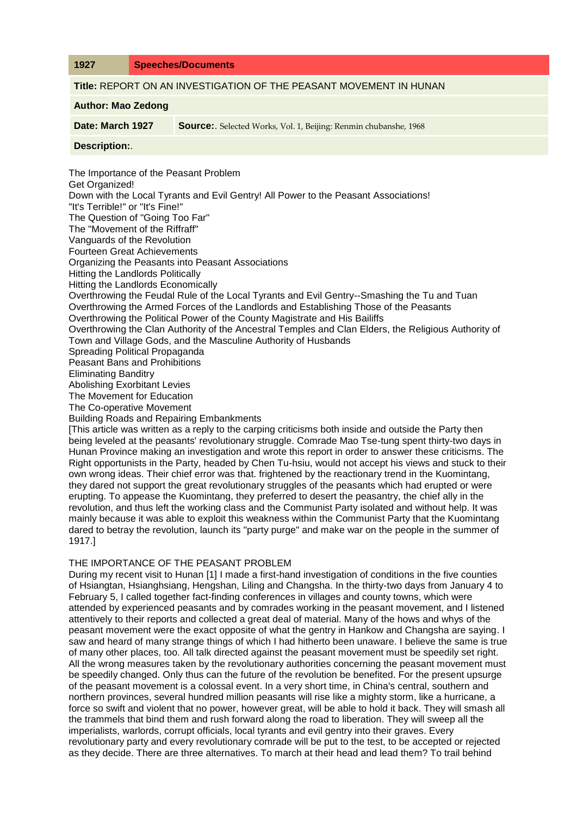## **1927 Speeches/Documents**

## **Title:** REPORT ON AN INVESTIGATION OF THE PEASANT MOVEMENT IN HUNAN

#### **Author: Mao Zedong**

**Date: March 1927 Source:**. Selected Works, Vol. 1, Beijing: Renmin chubanshe, 1968

#### **Description:**.

The Importance of the Peasant Problem Get Organized! Down with the Local Tyrants and Evil Gentry! All Power to the Peasant Associations! "It's Terrible!" or "It's Fine!" The Question of "Going Too Far" The "Movement of the Riffraff" Vanguards of the Revolution Fourteen Great Achievements Organizing the Peasants into Peasant Associations Hitting the Landlords Politically Hitting the Landlords Economically Overthrowing the Feudal Rule of the Local Tyrants and Evil Gentry--Smashing the Tu and Tuan Overthrowing the Armed Forces of the Landlords and Establishing Those of the Peasants Overthrowing the Political Power of the County Magistrate and His Bailiffs Overthrowing the Clan Authority of the Ancestral Temples and Clan Elders, the Religious Authority of Town and Village Gods, and the Masculine Authority of Husbands Spreading Political Propaganda Peasant Bans and Prohibitions Eliminating Banditry Abolishing Exorbitant Levies The Movement for Education The Co-operative Movement Building Roads and Repairing Embankments [This article was written as a reply to the carping criticisms both inside and outside the Party then being leveled at the peasants' revolutionary struggle. Comrade Mao Tse-tung spent thirty-two days in Hunan Province making an investigation and wrote this report in order to answer these criticisms. The Right opportunists in the Party, headed by Chen Tu-hsiu, would not accept his views and stuck to their

own wrong ideas. Their chief error was that. frightened by the reactionary trend in the Kuomintang, they dared not support the great revolutionary struggles of the peasants which had erupted or were erupting. To appease the Kuomintang, they preferred to desert the peasantry, the chief ally in the revolution, and thus left the working class and the Communist Party isolated and without help. It was mainly because it was able to exploit this weakness within the Communist Party that the Kuomintang dared to betray the revolution, launch its "party purge" and make war on the people in the summer of 1917.]

## THE IMPORTANCE OF THE PEASANT PROBLEM

During my recent visit to Hunan [1] I made a first-hand investigation of conditions in the five counties of Hsiangtan, Hsianghsiang, Hengshan, Liling and Changsha. In the thirty-two days from January 4 to February 5, I called together fact-finding conferences in villages and county towns, which were attended by experienced peasants and by comrades working in the peasant movement, and I listened attentively to their reports and collected a great deal of material. Many of the hows and whys of the peasant movement were the exact opposite of what the gentry in Hankow and Changsha are saying. I saw and heard of many strange things of which I had hitherto been unaware. I believe the same is true of many other places, too. All talk directed against the peasant movement must be speedily set right. All the wrong measures taken by the revolutionary authorities concerning the peasant movement must be speedily changed. Only thus can the future of the revolution be benefited. For the present upsurge of the peasant movement is a colossal event. In a very short time, in China's central, southern and northern provinces, several hundred million peasants will rise like a mighty storm, like a hurricane, a force so swift and violent that no power, however great, will be able to hold it back. They will smash all the trammels that bind them and rush forward along the road to liberation. They will sweep all the imperialists, warlords, corrupt officials, local tyrants and evil gentry into their graves. Every revolutionary party and every revolutionary comrade will be put to the test, to be accepted or rejected as they decide. There are three alternatives. To march at their head and lead them? To trail behind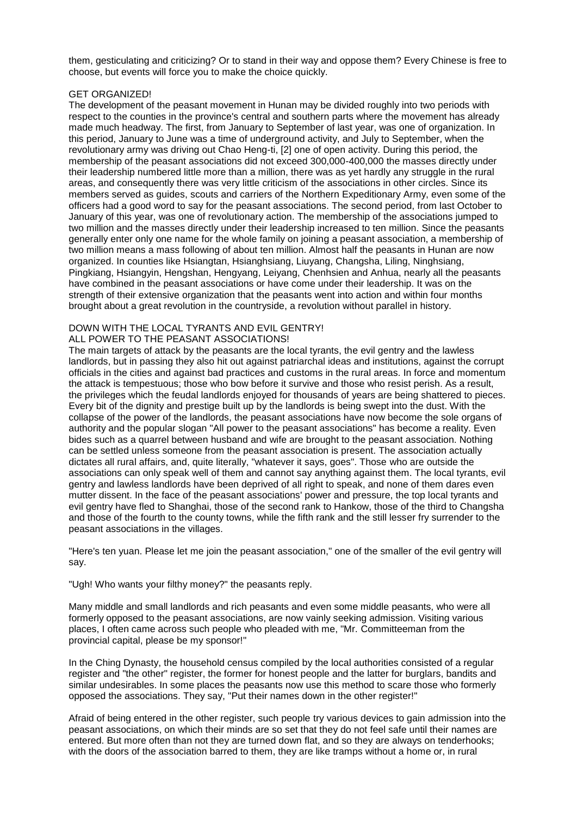them, gesticulating and criticizing? Or to stand in their way and oppose them? Every Chinese is free to choose, but events will force you to make the choice quickly.

#### GET ORGANIZED!

The development of the peasant movement in Hunan may be divided roughly into two periods with respect to the counties in the province's central and southern parts where the movement has already made much headway. The first, from January to September of last year, was one of organization. In this period, January to June was a time of underground activity, and July to September, when the revolutionary army was driving out Chao Heng-ti, [2] one of open activity. During this period, the membership of the peasant associations did not exceed 300,000-400,000 the masses directly under their leadership numbered little more than a million, there was as yet hardly any struggle in the rural areas, and consequently there was very little criticism of the associations in other circles. Since its members served as guides, scouts and carriers of the Northern Expeditionary Army, even some of the officers had a good word to say for the peasant associations. The second period, from last October to January of this year, was one of revolutionary action. The membership of the associations jumped to two million and the masses directly under their leadership increased to ten million. Since the peasants generally enter only one name for the whole family on joining a peasant association, a membership of two million means a mass following of about ten million. Almost half the peasants in Hunan are now organized. In counties like Hsiangtan, Hsianghsiang, Liuyang, Changsha, Liling, Ninghsiang, Pingkiang, Hsiangyin, Hengshan, Hengyang, Leiyang, Chenhsien and Anhua, nearly all the peasants have combined in the peasant associations or have come under their leadership. It was on the strength of their extensive organization that the peasants went into action and within four months brought about a great revolution in the countryside, a revolution without parallel in history.

# DOWN WITH THE LOCAL TYRANTS AND EVIL GENTRY!

## ALL POWER TO THE PEASANT ASSOCIATIONS!

The main targets of attack by the peasants are the local tyrants, the evil gentry and the lawless landlords, but in passing they also hit out against patriarchal ideas and institutions, against the corrupt officials in the cities and against bad practices and customs in the rural areas. In force and momentum the attack is tempestuous; those who bow before it survive and those who resist perish. As a result, the privileges which the feudal landlords enjoyed for thousands of years are being shattered to pieces. Every bit of the dignity and prestige built up by the landlords is being swept into the dust. With the collapse of the power of the landlords, the peasant associations have now become the sole organs of authority and the popular slogan "All power to the peasant associations" has become a reality. Even bides such as a quarrel between husband and wife are brought to the peasant association. Nothing can be settled unless someone from the peasant association is present. The association actually dictates all rural affairs, and, quite literally, "whatever it says, goes". Those who are outside the associations can only speak well of them and cannot say anything against them. The local tyrants, evil gentry and lawless landlords have been deprived of all right to speak, and none of them dares even mutter dissent. In the face of the peasant associations' power and pressure, the top local tyrants and evil gentry have fled to Shanghai, those of the second rank to Hankow, those of the third to Changsha and those of the fourth to the county towns, while the fifth rank and the still lesser fry surrender to the peasant associations in the villages.

"Here's ten yuan. Please let me join the peasant association," one of the smaller of the evil gentry will say.

"Ugh! Who wants your filthy money?" the peasants reply.

Many middle and small landlords and rich peasants and even some middle peasants, who were all formerly opposed to the peasant associations, are now vainly seeking admission. Visiting various places, I often came across such people who pleaded with me, "Mr. Committeeman from the provincial capital, please be my sponsor!"

In the Ching Dynasty, the household census compiled by the local authorities consisted of a regular register and "the other" register, the former for honest people and the latter for burglars, bandits and similar undesirables. In some places the peasants now use this method to scare those who formerly opposed the associations. They say, "Put their names down in the other register!"

Afraid of being entered in the other register, such people try various devices to gain admission into the peasant associations, on which their minds are so set that they do not feel safe until their names are entered. But more often than not they are turned down flat, and so they are always on tenderhooks; with the doors of the association barred to them, they are like tramps without a home or, in rural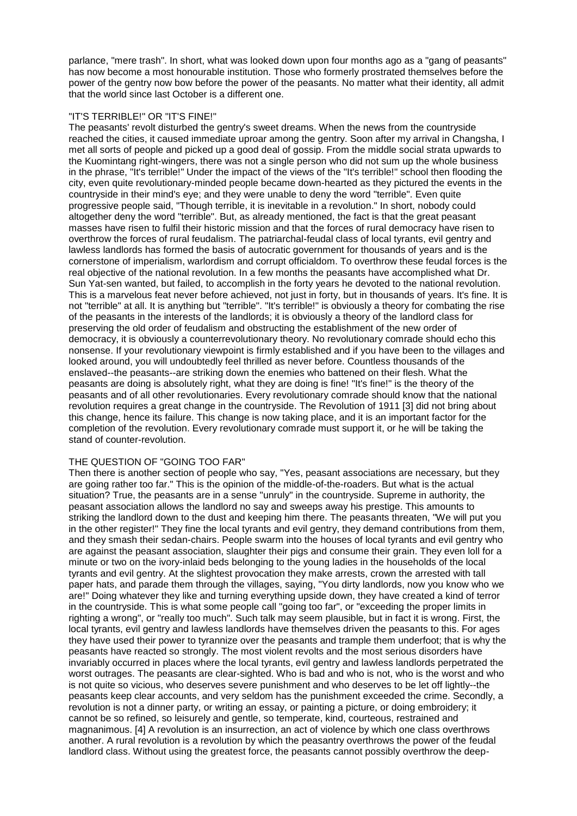parlance, "mere trash". In short, what was looked down upon four months ago as a "gang of peasants" has now become a most honourable institution. Those who formerly prostrated themselves before the power of the gentry now bow before the power of the peasants. No matter what their identity, all admit that the world since last October is a different one.

## "IT'S TERRIBLE!" OR "IT'S FINE!"

The peasants' revolt disturbed the gentry's sweet dreams. When the news from the countryside reached the cities, it caused immediate uproar among the gentry. Soon after my arrival in Changsha, I met all sorts of people and picked up a good deal of gossip. From the middle social strata upwards to the Kuomintang right-wingers, there was not a single person who did not sum up the whole business in the phrase, "It's terrible!" Under the impact of the views of the "It's terrible!" school then flooding the city, even quite revolutionary-minded people became down-hearted as they pictured the events in the countryside in their mind's eye; and they were unable to deny the word "terrible". Even quite progressive people said, "Though terrible, it is inevitable in a revolution." In short, nobody could altogether deny the word "terrible". But, as already mentioned, the fact is that the great peasant masses have risen to fulfil their historic mission and that the forces of rural democracy have risen to overthrow the forces of rural feudalism. The patriarchal-feudal class of local tyrants, evil gentry and lawless landlords has formed the basis of autocratic government for thousands of years and is the cornerstone of imperialism, warlordism and corrupt officialdom. To overthrow these feudal forces is the real objective of the national revolution. In a few months the peasants have accomplished what Dr. Sun Yat-sen wanted, but failed, to accomplish in the forty years he devoted to the national revolution. This is a marvelous feat never before achieved, not just in forty, but in thousands of years. It's fine. It is not "terrible" at all. It is anything but "terrible". "It's terrible!" is obviously a theory for combating the rise of the peasants in the interests of the landlords; it is obviously a theory of the landlord class for preserving the old order of feudalism and obstructing the establishment of the new order of democracy, it is obviously a counterrevolutionary theory. No revolutionary comrade should echo this nonsense. If your revolutionary viewpoint is firmly established and if you have been to the villages and looked around, you will undoubtedly feel thrilled as never before. Countless thousands of the enslaved--the peasants--are striking down the enemies who battened on their flesh. What the peasants are doing is absolutely right, what they are doing is fine! "It's fine!" is the theory of the peasants and of all other revolutionaries. Every revolutionary comrade should know that the national revolution requires a great change in the countryside. The Revolution of 1911 [3] did not bring about this change, hence its failure. This change is now taking place, and it is an important factor for the completion of the revolution. Every revolutionary comrade must support it, or he will be taking the stand of counter-revolution.

## THE QUESTION OF "GOING TOO FAR"

Then there is another section of people who say, "Yes, peasant associations are necessary, but they are going rather too far." This is the opinion of the middle-of-the-roaders. But what is the actual situation? True, the peasants are in a sense "unruly" in the countryside. Supreme in authority, the peasant association allows the landlord no say and sweeps away his prestige. This amounts to striking the landlord down to the dust and keeping him there. The peasants threaten, "We will put you in the other register!" They fine the local tyrants and evil gentry, they demand contributions from them, and they smash their sedan-chairs. People swarm into the houses of local tyrants and evil gentry who are against the peasant association, slaughter their pigs and consume their grain. They even loll for a minute or two on the ivory-inlaid beds belonging to the young ladies in the households of the local tyrants and evil gentry. At the slightest provocation they make arrests, crown the arrested with tall paper hats, and parade them through the villages, saying, "You dirty landlords, now you know who we are!" Doing whatever they like and turning everything upside down, they have created a kind of terror in the countryside. This is what some people call "going too far", or "exceeding the proper limits in righting a wrong", or "really too much". Such talk may seem plausible, but in fact it is wrong. First, the local tyrants, evil gentry and lawless landlords have themselves driven the peasants to this. For ages they have used their power to tyrannize over the peasants and trample them underfoot; that is why the peasants have reacted so strongly. The most violent revolts and the most serious disorders have invariably occurred in places where the local tyrants, evil gentry and lawless landlords perpetrated the worst outrages. The peasants are clear-sighted. Who is bad and who is not, who is the worst and who is not quite so vicious, who deserves severe punishment and who deserves to be let off lightly--the peasants keep clear accounts, and very seldom has the punishment exceeded the crime. Secondly, a revolution is not a dinner party, or writing an essay, or painting a picture, or doing embroidery; it cannot be so refined, so leisurely and gentle, so temperate, kind, courteous, restrained and magnanimous. [4] A revolution is an insurrection, an act of violence by which one class overthrows another. A rural revolution is a revolution by which the peasantry overthrows the power of the feudal landlord class. Without using the greatest force, the peasants cannot possibly overthrow the deep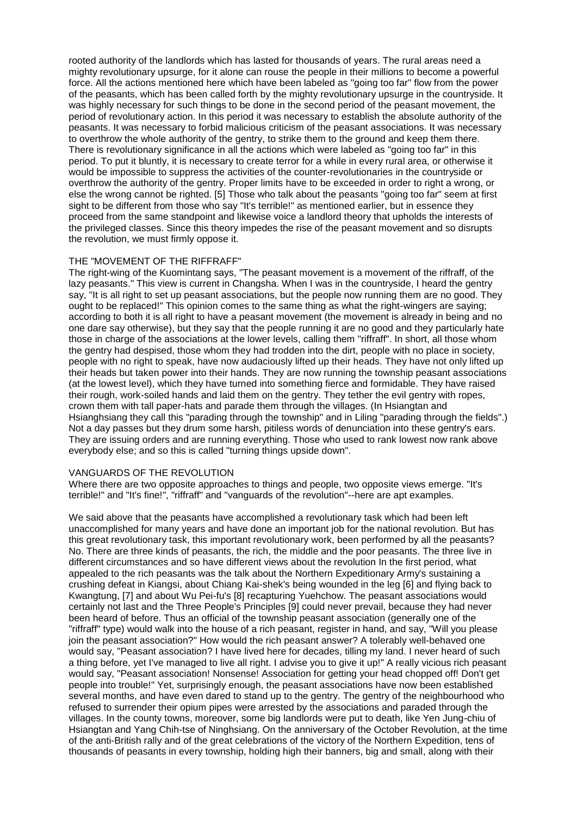rooted authority of the landlords which has lasted for thousands of years. The rural areas need a mighty revolutionary upsurge, for it alone can rouse the people in their millions to become a powerful force. All the actions mentioned here which have been labeled as "going too far" flow from the power of the peasants, which has been called forth by the mighty revolutionary upsurge in the countryside. It was highly necessary for such things to be done in the second period of the peasant movement, the period of revolutionary action. In this period it was necessary to establish the absolute authority of the peasants. It was necessary to forbid malicious criticism of the peasant associations. It was necessary to overthrow the whole authority of the gentry, to strike them to the ground and keep them there. There is revolutionary significance in all the actions which were labeled as "going too far" in this period. To put it bluntly, it is necessary to create terror for a while in every rural area, or otherwise it would be impossible to suppress the activities of the counter-revolutionaries in the countryside or overthrow the authority of the gentry. Proper limits have to be exceeded in order to right a wrong, or else the wrong cannot be righted. [5] Those who talk about the peasants "going too far" seem at first sight to be different from those who say "It's terrible!" as mentioned earlier, but in essence they proceed from the same standpoint and likewise voice a landlord theory that upholds the interests of the privileged classes. Since this theory impedes the rise of the peasant movement and so disrupts the revolution, we must firmly oppose it.

#### THE "MOVEMENT OF THE RIFFRAFF"

The right-wing of the Kuomintang says, "The peasant movement is a movement of the riffraff, of the lazy peasants." This view is current in Changsha. When I was in the countryside, I heard the gentry say, "It is all right to set up peasant associations, but the people now running them are no good. They ought to be replaced!" This opinion comes to the same thing as what the right-wingers are saying; according to both it is all right to have a peasant movement (the movement is already in being and no one dare say otherwise), but they say that the people running it are no good and they particularly hate those in charge of the associations at the lower levels, calling them "riffraff". In short, all those whom the gentry had despised, those whom they had trodden into the dirt, people with no place in society, people with no right to speak, have now audaciously lifted up their heads. They have not only lifted up their heads but taken power into their hands. They are now running the township peasant associations (at the lowest level), which they have turned into something fierce and formidable. They have raised their rough, work-soiled hands and laid them on the gentry. They tether the evil gentry with ropes, crown them with tall paper-hats and parade them through the villages. (In Hsiangtan and Hsianghsiang they call this "parading through the township" and in Liling "parading through the fields".) Not a day passes but they drum some harsh, pitiless words of denunciation into these gentry's ears. They are issuing orders and are running everything. Those who used to rank lowest now rank above everybody else; and so this is called "turning things upside down".

## VANGUARDS OF THE REVOLUTION

Where there are two opposite approaches to things and people, two opposite views emerge. "It's terrible!" and "It's fine!", "riffraff" and "vanguards of the revolution"--here are apt examples.

We said above that the peasants have accomplished a revolutionary task which had been left unaccomplished for many years and have done an important job for the national revolution. But has this great revolutionary task, this important revolutionary work, been performed by all the peasants? No. There are three kinds of peasants, the rich, the middle and the poor peasants. The three live in different circumstances and so have different views about the revolution In the first period, what appealed to the rich peasants was the talk about the Northern Expeditionary Army's sustaining a crushing defeat in Kiangsi, about Chiang Kai-shek's being wounded in the leg [6] and flying back to Kwangtung, [7] and about Wu Pei-fu's [8] recapturing Yuehchow. The peasant associations would certainly not last and the Three People's Principles [9] could never prevail, because they had never been heard of before. Thus an official of the township peasant association (generally one of the "riffraff" type) would walk into the house of a rich peasant, register in hand, and say, "Will you please join the peasant association?" How would the rich peasant answer? A tolerably well-behaved one would say, "Peasant association? I have lived here for decades, tilling my land. I never heard of such a thing before, yet I've managed to live all right. I advise you to give it up!" A really vicious rich peasant would say, "Peasant association! Nonsense! Association for getting your head chopped off! Don't get people into trouble!" Yet, surprisingly enough, the peasant associations have now been established several months, and have even dared to stand up to the gentry. The gentry of the neighbourhood who refused to surrender their opium pipes were arrested by the associations and paraded through the villages. In the county towns, moreover, some big landlords were put to death, like Yen Jung-chiu of Hsiangtan and Yang Chih-tse of Ninghsiang. On the anniversary of the October Revolution, at the time of the anti-British rally and of the great celebrations of the victory of the Northern Expedition, tens of thousands of peasants in every township, holding high their banners, big and small, along with their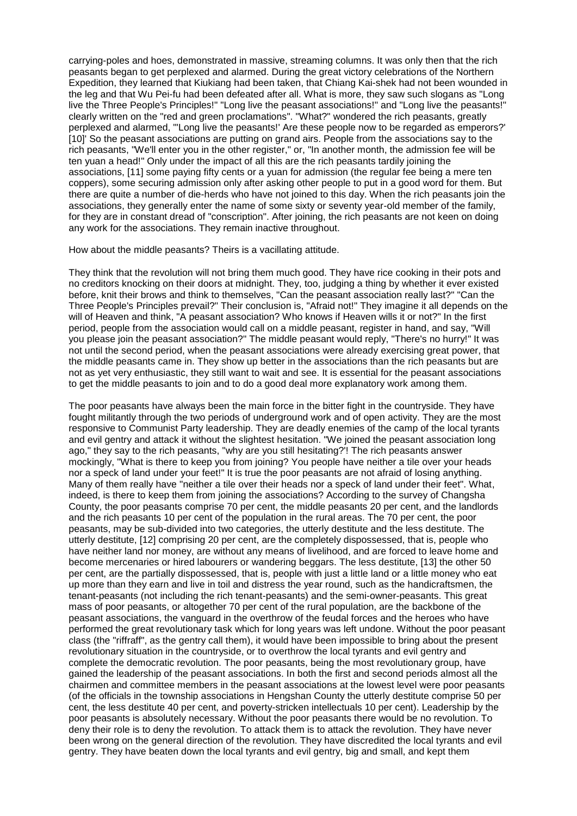carrying-poles and hoes, demonstrated in massive, streaming columns. It was only then that the rich peasants began to get perplexed and alarmed. During the great victory celebrations of the Northern Expedition, they learned that Kiukiang had been taken, that Chiang Kai-shek had not been wounded in the leg and that Wu Pei-fu had been defeated after all. What is more, they saw such slogans as "Long live the Three People's Principles!" "Long live the peasant associations!" and "Long live the peasants!" clearly written on the "red and green proclamations". "What?" wondered the rich peasants, greatly perplexed and alarmed, "'Long live the peasants!' Are these people now to be regarded as emperors?' [10]' So the peasant associations are putting on grand airs. People from the associations say to the rich peasants, "We'll enter you in the other register," or, "In another month, the admission fee will be ten yuan a head!" Only under the impact of all this are the rich peasants tardily joining the associations, [11] some paying fifty cents or a yuan for admission (the regular fee being a mere ten coppers), some securing admission only after asking other people to put in a good word for them. But there are quite a number of die-herds who have not joined to this day. When the rich peasants join the associations, they generally enter the name of some sixty or seventy year-old member of the family, for they are in constant dread of "conscription". After joining, the rich peasants are not keen on doing any work for the associations. They remain inactive throughout.

How about the middle peasants? Theirs is a vacillating attitude.

They think that the revolution will not bring them much good. They have rice cooking in their pots and no creditors knocking on their doors at midnight. They, too, judging a thing by whether it ever existed before, knit their brows and think to themselves, "Can the peasant association really last?" "Can the Three People's Principles prevail?" Their conclusion is, "Afraid not!" They imagine it all depends on the will of Heaven and think, "A peasant association? Who knows if Heaven wills it or not?" In the first period, people from the association would call on a middle peasant, register in hand, and say, "Will you please join the peasant association?" The middle peasant would reply, "There's no hurry!" It was not until the second period, when the peasant associations were already exercising great power, that the middle peasants came in. They show up better in the associations than the rich peasants but are not as yet very enthusiastic, they still want to wait and see. It is essential for the peasant associations to get the middle peasants to join and to do a good deal more explanatory work among them.

The poor peasants have always been the main force in the bitter fight in the countryside. They have fought militantly through the two periods of underground work and of open activity. They are the most responsive to Communist Party leadership. They are deadly enemies of the camp of the local tyrants and evil gentry and attack it without the slightest hesitation. "We joined the peasant association long ago," they say to the rich peasants, "why are you still hesitating?'! The rich peasants answer mockingly, "What is there to keep you from joining? You people have neither a tile over your heads nor a speck of land under your feet!" It is true the poor peasants are not afraid of losing anything. Many of them really have "neither a tile over their heads nor a speck of land under their feet". What, indeed, is there to keep them from joining the associations? According to the survey of Changsha County, the poor peasants comprise 70 per cent, the middle peasants 20 per cent, and the landlords and the rich peasants 10 per cent of the population in the rural areas. The 70 per cent, the poor peasants, may be sub-divided into two categories, the utterly destitute and the less destitute. The utterly destitute, [12] comprising 20 per cent, are the completely dispossessed, that is, people who have neither land nor money, are without any means of livelihood, and are forced to leave home and become mercenaries or hired labourers or wandering beggars. The less destitute, [13] the other 50 per cent, are the partially dispossessed, that is, people with just a little land or a little money who eat up more than they earn and live in toil and distress the year round, such as the handicraftsmen, the tenant-peasants (not including the rich tenant-peasants) and the semi-owner-peasants. This great mass of poor peasants, or altogether 70 per cent of the rural population, are the backbone of the peasant associations, the vanguard in the overthrow of the feudal forces and the heroes who have performed the great revolutionary task which for long years was left undone. Without the poor peasant class (the "riffraff", as the gentry call them), it would have been impossible to bring about the present revolutionary situation in the countryside, or to overthrow the local tyrants and evil gentry and complete the democratic revolution. The poor peasants, being the most revolutionary group, have gained the leadership of the peasant associations. In both the first and second periods almost all the chairmen and committee members in the peasant associations at the lowest level were poor peasants (of the officials in the township associations in Hengshan County the utterly destitute comprise 50 per cent, the less destitute 40 per cent, and poverty-stricken intellectuals 10 per cent). Leadership by the poor peasants is absolutely necessary. Without the poor peasants there would be no revolution. To deny their role is to deny the revolution. To attack them is to attack the revolution. They have never been wrong on the general direction of the revolution. They have discredited the local tyrants and evil gentry. They have beaten down the local tyrants and evil gentry, big and small, and kept them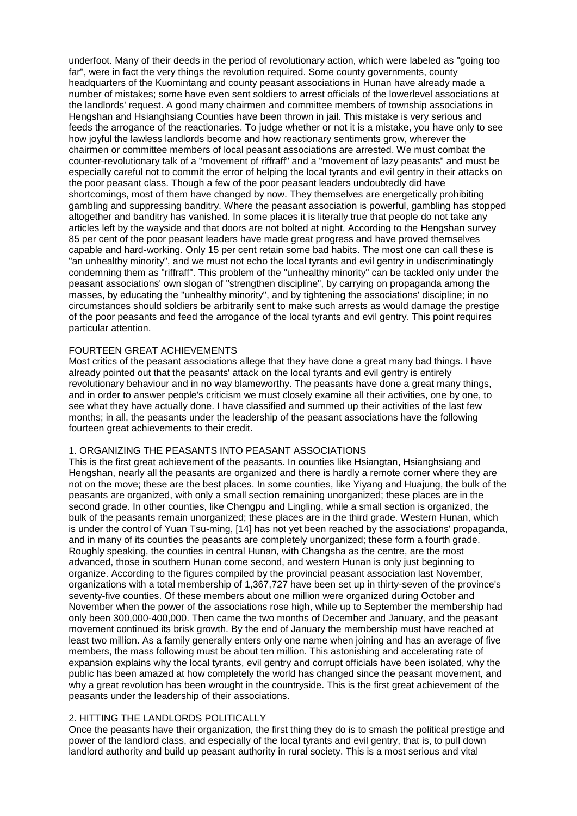underfoot. Many of their deeds in the period of revolutionary action, which were labeled as "going too far", were in fact the very things the revolution required. Some county governments, county headquarters of the Kuomintang and county peasant associations in Hunan have already made a number of mistakes; some have even sent soldiers to arrest officials of the lowerlevel associations at the landlords' request. A good many chairmen and committee members of township associations in Hengshan and Hsianghsiang Counties have been thrown in jail. This mistake is very serious and feeds the arrogance of the reactionaries. To judge whether or not it is a mistake, you have only to see how joyful the lawless landlords become and how reactionary sentiments grow, wherever the chairmen or committee members of local peasant associations are arrested. We must combat the counter-revolutionary talk of a "movement of riffraff" and a "movement of lazy peasants" and must be especially careful not to commit the error of helping the local tyrants and evil gentry in their attacks on the poor peasant class. Though a few of the poor peasant leaders undoubtedly did have shortcomings, most of them have changed by now. They themselves are energetically prohibiting gambling and suppressing banditry. Where the peasant association is powerful, gambling has stopped altogether and banditry has vanished. In some places it is literally true that people do not take any articles left by the wayside and that doors are not bolted at night. According to the Hengshan survey 85 per cent of the poor peasant leaders have made great progress and have proved themselves capable and hard-working. Only 15 per cent retain some bad habits. The most one can call these is "an unhealthy minority", and we must not echo the local tyrants and evil gentry in undiscriminatingly condemning them as "riffraff". This problem of the "unhealthy minority" can be tackled only under the peasant associations' own slogan of "strengthen discipline", by carrying on propaganda among the masses, by educating the "unhealthy minority", and by tightening the associations' discipline; in no circumstances should soldiers be arbitrarily sent to make such arrests as would damage the prestige of the poor peasants and feed the arrogance of the local tyrants and evil gentry. This point requires particular attention.

#### FOURTEEN GREAT ACHIEVEMENTS

Most critics of the peasant associations allege that they have done a great many bad things. I have already pointed out that the peasants' attack on the local tyrants and evil gentry is entirely revolutionary behaviour and in no way blameworthy. The peasants have done a great many things, and in order to answer people's criticism we must closely examine all their activities, one by one, to see what they have actually done. I have classified and summed up their activities of the last few months; in all, the peasants under the leadership of the peasant associations have the following fourteen great achievements to their credit.

#### 1. ORGANIZING THE PEASANTS INTO PEASANT ASSOCIATIONS

This is the first great achievement of the peasants. In counties like Hsiangtan, Hsianghsiang and Hengshan, nearly all the peasants are organized and there is hardly a remote corner where they are not on the move; these are the best places. In some counties, like Yiyang and Huajung, the bulk of the peasants are organized, with only a small section remaining unorganized; these places are in the second grade. In other counties, like Chengpu and Lingling, while a small section is organized, the bulk of the peasants remain unorganized; these places are in the third grade. Western Hunan, which is under the control of Yuan Tsu-ming, [14] has not yet been reached by the associations' propaganda, and in many of its counties the peasants are completely unorganized; these form a fourth grade. Roughly speaking, the counties in central Hunan, with Changsha as the centre, are the most advanced, those in southern Hunan come second, and western Hunan is only just beginning to organize. According to the figures compiled by the provincial peasant association last November, organizations with a total membership of 1,367,727 have been set up in thirty-seven of the province's seventy-five counties. Of these members about one million were organized during October and November when the power of the associations rose high, while up to September the membership had only been 300,000-400,000. Then came the two months of December and January, and the peasant movement continued its brisk growth. By the end of January the membership must have reached at least two million. As a family generally enters only one name when joining and has an average of five members, the mass following must be about ten million. This astonishing and accelerating rate of expansion explains why the local tyrants, evil gentry and corrupt officials have been isolated, why the public has been amazed at how completely the world has changed since the peasant movement, and why a great revolution has been wrought in the countryside. This is the first great achievement of the peasants under the leadership of their associations.

#### 2. HITTING THE LANDLORDS POLITICALLY

Once the peasants have their organization, the first thing they do is to smash the political prestige and power of the landlord class, and especially of the local tyrants and evil gentry, that is, to pull down landlord authority and build up peasant authority in rural society. This is a most serious and vital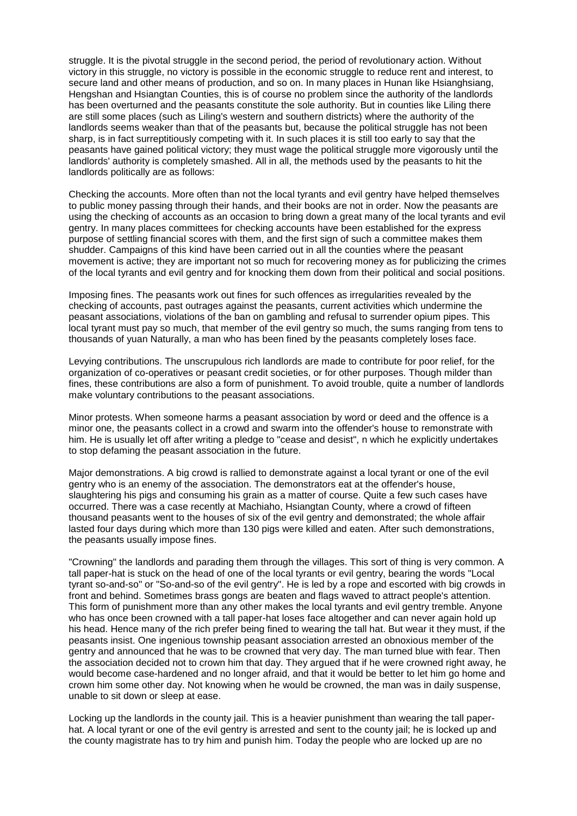struggle. It is the pivotal struggle in the second period, the period of revolutionary action. Without victory in this struggle, no victory is possible in the economic struggle to reduce rent and interest, to secure land and other means of production, and so on. In many places in Hunan like Hsianghsiang, Hengshan and Hsiangtan Counties, this is of course no problem since the authority of the landlords has been overturned and the peasants constitute the sole authority. But in counties like Liling there are still some places (such as Liling's western and southern districts) where the authority of the landlords seems weaker than that of the peasants but, because the political struggle has not been sharp, is in fact surreptitiously competing with it. In such places it is still too early to say that the peasants have gained political victory; they must wage the political struggle more vigorously until the landlords' authority is completely smashed. All in all, the methods used by the peasants to hit the landlords politically are as follows:

Checking the accounts. More often than not the local tyrants and evil gentry have helped themselves to public money passing through their hands, and their books are not in order. Now the peasants are using the checking of accounts as an occasion to bring down a great many of the local tyrants and evil gentry. In many places committees for checking accounts have been established for the express purpose of settling financial scores with them, and the first sign of such a committee makes them shudder. Campaigns of this kind have been carried out in all the counties where the peasant movement is active; they are important not so much for recovering money as for publicizing the crimes of the local tyrants and evil gentry and for knocking them down from their political and social positions.

Imposing fines. The peasants work out fines for such offences as irregularities revealed by the checking of accounts, past outrages against the peasants, current activities which undermine the peasant associations, violations of the ban on gambling and refusal to surrender opium pipes. This local tyrant must pay so much, that member of the evil gentry so much, the sums ranging from tens to thousands of yuan Naturally, a man who has been fined by the peasants completely loses face.

Levying contributions. The unscrupulous rich landlords are made to contribute for poor relief, for the organization of co-operatives or peasant credit societies, or for other purposes. Though milder than fines, these contributions are also a form of punishment. To avoid trouble, quite a number of landlords make voluntary contributions to the peasant associations.

Minor protests. When someone harms a peasant association by word or deed and the offence is a minor one, the peasants collect in a crowd and swarm into the offender's house to remonstrate with him. He is usually let off after writing a pledge to "cease and desist", n which he explicitly undertakes to stop defaming the peasant association in the future.

Major demonstrations. A big crowd is rallied to demonstrate against a local tyrant or one of the evil gentry who is an enemy of the association. The demonstrators eat at the offender's house, slaughtering his pigs and consuming his grain as a matter of course. Quite a few such cases have occurred. There was a case recently at Machiaho, Hsiangtan County, where a crowd of fifteen thousand peasants went to the houses of six of the evil gentry and demonstrated; the whole affair lasted four days during which more than 130 pigs were killed and eaten. After such demonstrations, the peasants usually impose fines.

"Crowning" the landlords and parading them through the villages. This sort of thing is very common. A tall paper-hat is stuck on the head of one of the local tyrants or evil gentry, bearing the words "Local tyrant so-and-so" or "So-and-so of the evil gentry". He is led by a rope and escorted with big crowds in front and behind. Sometimes brass gongs are beaten and flags waved to attract people's attention. This form of punishment more than any other makes the local tyrants and evil gentry tremble. Anyone who has once been crowned with a tall paper-hat loses face altogether and can never again hold up his head. Hence many of the rich prefer being fined to wearing the tall hat. But wear it they must, if the peasants insist. One ingenious township peasant association arrested an obnoxious member of the gentry and announced that he was to be crowned that very day. The man turned blue with fear. Then the association decided not to crown him that day. They argued that if he were crowned right away, he would become case-hardened and no longer afraid, and that it would be better to let him go home and crown him some other day. Not knowing when he would be crowned, the man was in daily suspense, unable to sit down or sleep at ease.

Locking up the landlords in the county jail. This is a heavier punishment than wearing the tall paperhat. A local tyrant or one of the evil gentry is arrested and sent to the county jail; he is locked up and the county magistrate has to try him and punish him. Today the people who are locked up are no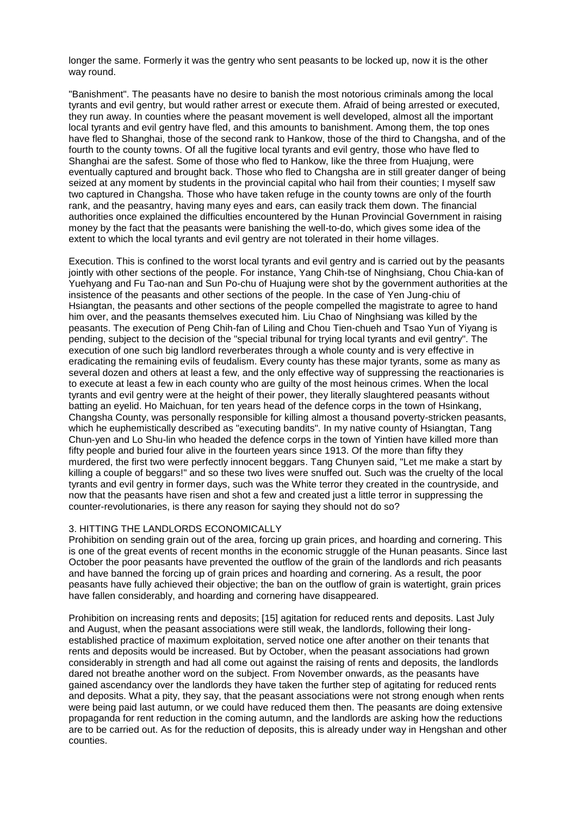longer the same. Formerly it was the gentry who sent peasants to be locked up, now it is the other way round.

"Banishment". The peasants have no desire to banish the most notorious criminals among the local tyrants and evil gentry, but would rather arrest or execute them. Afraid of being arrested or executed, they run away. In counties where the peasant movement is well developed, almost all the important local tyrants and evil gentry have fled, and this amounts to banishment. Among them, the top ones have fled to Shanghai, those of the second rank to Hankow, those of the third to Changsha, and of the fourth to the county towns. Of all the fugitive local tyrants and evil gentry, those who have fled to Shanghai are the safest. Some of those who fled to Hankow, like the three from Huajung, were eventually captured and brought back. Those who fled to Changsha are in still greater danger of being seized at any moment by students in the provincial capital who hail from their counties; I myself saw two captured in Changsha. Those who have taken refuge in the county towns are only of the fourth rank, and the peasantry, having many eyes and ears, can easily track them down. The financial authorities once explained the difficulties encountered by the Hunan Provincial Government in raising money by the fact that the peasants were banishing the well-to-do, which gives some idea of the extent to which the local tyrants and evil gentry are not tolerated in their home villages.

Execution. This is confined to the worst local tyrants and evil gentry and is carried out by the peasants jointly with other sections of the people. For instance, Yang Chih-tse of Ninghsiang, Chou Chia-kan of Yuehyang and Fu Tao-nan and Sun Po-chu of Huajung were shot by the government authorities at the insistence of the peasants and other sections of the people. In the case of Yen Jung-chiu of Hsiangtan, the peasants and other sections of the people compelled the magistrate to agree to hand him over, and the peasants themselves executed him. Liu Chao of Ninghsiang was killed by the peasants. The execution of Peng Chih-fan of Liling and Chou Tien-chueh and Tsao Yun of Yiyang is pending, subject to the decision of the "special tribunal for trying local tyrants and evil gentry". The execution of one such big landlord reverberates through a whole county and is very effective in eradicating the remaining evils of feudalism. Every county has these major tyrants, some as many as several dozen and others at least a few, and the only effective way of suppressing the reactionaries is to execute at least a few in each county who are guilty of the most heinous crimes. When the local tyrants and evil gentry were at the height of their power, they literally slaughtered peasants without batting an eyelid. Ho Maichuan, for ten years head of the defence corps in the town of Hsinkang, Changsha County, was personally responsible for killing almost a thousand poverty-stricken peasants, which he euphemistically described as "executing bandits". In my native county of Hsiangtan, Tang Chun-yen and Lo Shu-lin who headed the defence corps in the town of Yintien have killed more than fifty people and buried four alive in the fourteen years since 1913. Of the more than fifty they murdered, the first two were perfectly innocent beggars. Tang Chunyen said, "Let me make a start by killing a couple of beggars!" and so these two lives were snuffed out. Such was the cruelty of the local tyrants and evil gentry in former days, such was the White terror they created in the countryside, and now that the peasants have risen and shot a few and created just a little terror in suppressing the counter-revolutionaries, is there any reason for saying they should not do so?

#### 3. HITTING THE LANDLORDS ECONOMICALLY

Prohibition on sending grain out of the area, forcing up grain prices, and hoarding and cornering. This is one of the great events of recent months in the economic struggle of the Hunan peasants. Since last October the poor peasants have prevented the outflow of the grain of the landlords and rich peasants and have banned the forcing up of grain prices and hoarding and cornering. As a result, the poor peasants have fully achieved their objective; the ban on the outflow of grain is watertight, grain prices have fallen considerably, and hoarding and cornering have disappeared.

Prohibition on increasing rents and deposits; [15] agitation for reduced rents and deposits. Last July and August, when the peasant associations were still weak, the landlords, following their longestablished practice of maximum exploitation, served notice one after another on their tenants that rents and deposits would be increased. But by October, when the peasant associations had grown considerably in strength and had all come out against the raising of rents and deposits, the landlords dared not breathe another word on the subject. From November onwards, as the peasants have gained ascendancy over the landlords they have taken the further step of agitating for reduced rents and deposits. What a pity, they say, that the peasant associations were not strong enough when rents were being paid last autumn, or we could have reduced them then. The peasants are doing extensive propaganda for rent reduction in the coming autumn, and the landlords are asking how the reductions are to be carried out. As for the reduction of deposits, this is already under way in Hengshan and other counties.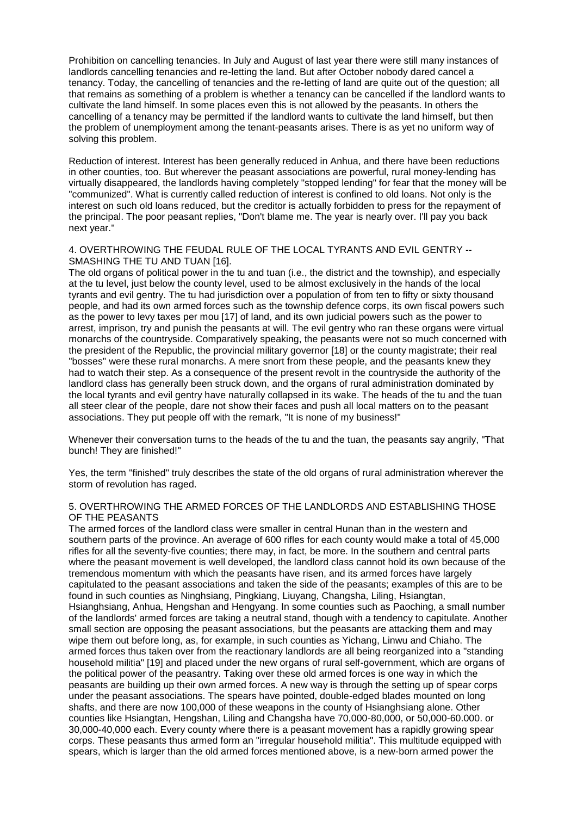Prohibition on cancelling tenancies. In July and August of last year there were still many instances of landlords cancelling tenancies and re-letting the land. But after October nobody dared cancel a tenancy. Today, the cancelling of tenancies and the re-letting of land are quite out of the question; all that remains as something of a problem is whether a tenancy can be cancelled if the landlord wants to cultivate the land himself. In some places even this is not allowed by the peasants. In others the cancelling of a tenancy may be permitted if the landlord wants to cultivate the land himself, but then the problem of unemployment among the tenant-peasants arises. There is as yet no uniform way of solving this problem.

Reduction of interest. Interest has been generally reduced in Anhua, and there have been reductions in other counties, too. But wherever the peasant associations are powerful, rural money-lending has virtually disappeared, the landlords having completely "stopped lending" for fear that the money will be "communized". What is currently called reduction of interest is confined to old loans. Not only is the interest on such old loans reduced, but the creditor is actually forbidden to press for the repayment of the principal. The poor peasant replies, "Don't blame me. The year is nearly over. I'll pay you back next year."

## 4. OVERTHROWING THE FEUDAL RULE OF THE LOCAL TYRANTS AND EVIL GENTRY -- SMASHING THE TU AND TUAN [16].

The old organs of political power in the tu and tuan (i.e., the district and the township), and especially at the tu level, just below the county level, used to be almost exclusively in the hands of the local tyrants and evil gentry. The tu had jurisdiction over a population of from ten to fifty or sixty thousand people, and had its own armed forces such as the township defence corps, its own fiscal powers such as the power to levy taxes per mou [17] of land, and its own judicial powers such as the power to arrest, imprison, try and punish the peasants at will. The evil gentry who ran these organs were virtual monarchs of the countryside. Comparatively speaking, the peasants were not so much concerned with the president of the Republic, the provincial military governor [18] or the county magistrate; their real "bosses" were these rural monarchs. A mere snort from these people, and the peasants knew they had to watch their step. As a consequence of the present revolt in the countryside the authority of the landlord class has generally been struck down, and the organs of rural administration dominated by the local tyrants and evil gentry have naturally collapsed in its wake. The heads of the tu and the tuan all steer clear of the people, dare not show their faces and push all local matters on to the peasant associations. They put people off with the remark, "It is none of my business!"

Whenever their conversation turns to the heads of the tu and the tuan, the peasants say angrily, "That bunch! They are finished!"

Yes, the term "finished" truly describes the state of the old organs of rural administration wherever the storm of revolution has raged.

#### 5. OVERTHROWING THE ARMED FORCES OF THE LANDLORDS AND ESTABLISHING THOSE OF THE PEASANTS

The armed forces of the landlord class were smaller in central Hunan than in the western and southern parts of the province. An average of 600 rifles for each county would make a total of 45,000 rifles for all the seventy-five counties; there may, in fact, be more. In the southern and central parts where the peasant movement is well developed, the landlord class cannot hold its own because of the tremendous momentum with which the peasants have risen, and its armed forces have largely capitulated to the peasant associations and taken the side of the peasants; examples of this are to be found in such counties as Ninghsiang, Pingkiang, Liuyang, Changsha, Liling, Hsiangtan, Hsianghsiang, Anhua, Hengshan and Hengyang. In some counties such as Paoching, a small number of the landlords' armed forces are taking a neutral stand, though with a tendency to capitulate. Another small section are opposing the peasant associations, but the peasants are attacking them and may wipe them out before long, as, for example, in such counties as Yichang, Linwu and Chiaho. The armed forces thus taken over from the reactionary landlords are all being reorganized into a "standing household militia" [19] and placed under the new organs of rural self-government, which are organs of the political power of the peasantry. Taking over these old armed forces is one way in which the peasants are building up their own armed forces. A new way is through the setting up of spear corps under the peasant associations. The spears have pointed, double-edged blades mounted on long shafts, and there are now 100,000 of these weapons in the county of Hsianghsiang alone. Other counties like Hsiangtan, Hengshan, Liling and Changsha have 70,000-80,000, or 50,000-60.000. or 30,000-40,000 each. Every county where there is a peasant movement has a rapidly growing spear corps. These peasants thus armed form an "irregular household militia". This multitude equipped with spears, which is larger than the old armed forces mentioned above, is a new-born armed power the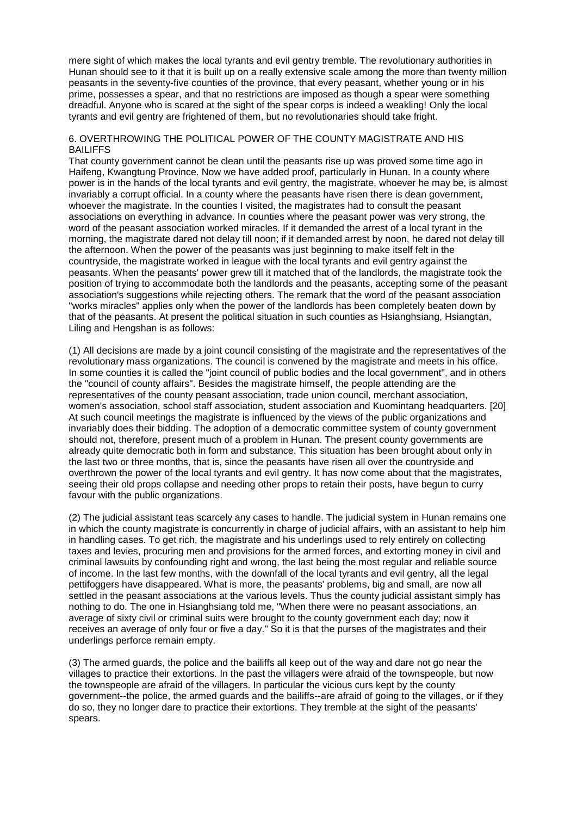mere sight of which makes the local tyrants and evil gentry tremble. The revolutionary authorities in Hunan should see to it that it is built up on a really extensive scale among the more than twenty million peasants in the seventy-five counties of the province, that every peasant, whether young or in his prime, possesses a spear, and that no restrictions are imposed as though a spear were something dreadful. Anyone who is scared at the sight of the spear corps is indeed a weakling! Only the local tyrants and evil gentry are frightened of them, but no revolutionaries should take fright.

## 6. OVERTHROWING THE POLITICAL POWER OF THE COUNTY MAGISTRATE AND HIS BAILIFFS

That county government cannot be clean until the peasants rise up was proved some time ago in Haifeng, Kwangtung Province. Now we have added proof, particularly in Hunan. In a county where power is in the hands of the local tyrants and evil gentry, the magistrate, whoever he may be, is almost invariably a corrupt official. In a county where the peasants have risen there is dean government, whoever the magistrate. In the counties I visited, the magistrates had to consult the peasant associations on everything in advance. In counties where the peasant power was very strong, the word of the peasant association worked miracles. If it demanded the arrest of a local tyrant in the morning, the magistrate dared not delay till noon; if it demanded arrest by noon, he dared not delay till the afternoon. When the power of the peasants was just beginning to make itself felt in the countryside, the magistrate worked in league with the local tyrants and evil gentry against the peasants. When the peasants' power grew till it matched that of the landlords, the magistrate took the position of trying to accommodate both the landlords and the peasants, accepting some of the peasant association's suggestions while rejecting others. The remark that the word of the peasant association "works miracles" applies only when the power of the landlords has been completely beaten down by that of the peasants. At present the political situation in such counties as Hsianghsiang, Hsiangtan, Liling and Hengshan is as follows:

(1) All decisions are made by a joint council consisting of the magistrate and the representatives of the revolutionary mass organizations. The council is convened by the magistrate and meets in his office. In some counties it is called the "joint council of public bodies and the local government", and in others the "council of county affairs". Besides the magistrate himself, the people attending are the representatives of the county peasant association, trade union council, merchant association, women's association, school staff association, student association and Kuomintang headquarters. [20] At such council meetings the magistrate is influenced by the views of the public organizations and invariably does their bidding. The adoption of a democratic committee system of county government should not, therefore, present much of a problem in Hunan. The present county governments are already quite democratic both in form and substance. This situation has been brought about only in the last two or three months, that is, since the peasants have risen all over the countryside and overthrown the power of the local tyrants and evil gentry. It has now come about that the magistrates, seeing their old props collapse and needing other props to retain their posts, have begun to curry favour with the public organizations.

(2) The judicial assistant teas scarcely any cases to handle. The judicial system in Hunan remains one in which the county magistrate is concurrently in charge of judicial affairs, with an assistant to help him in handling cases. To get rich, the magistrate and his underlings used to rely entirely on collecting taxes and levies, procuring men and provisions for the armed forces, and extorting money in civil and criminal lawsuits by confounding right and wrong, the last being the most regular and reliable source of income. In the last few months, with the downfall of the local tyrants and evil gentry, all the legal pettifoggers have disappeared. What is more, the peasants' problems, big and small, are now all settled in the peasant associations at the various levels. Thus the county judicial assistant simply has nothing to do. The one in Hsianghsiang told me, "When there were no peasant associations, an average of sixty civil or criminal suits were brought to the county government each day; now it receives an average of only four or five a day." So it is that the purses of the magistrates and their underlings perforce remain empty.

(3) The armed guards, the police and the bailiffs all keep out of the way and dare not go near the villages to practice their extortions. In the past the villagers were afraid of the townspeople, but now the townspeople are afraid of the villagers. In particular the vicious curs kept by the county government--the police, the armed guards and the bailiffs--are afraid of going to the villages, or if they do so, they no longer dare to practice their extortions. They tremble at the sight of the peasants' spears.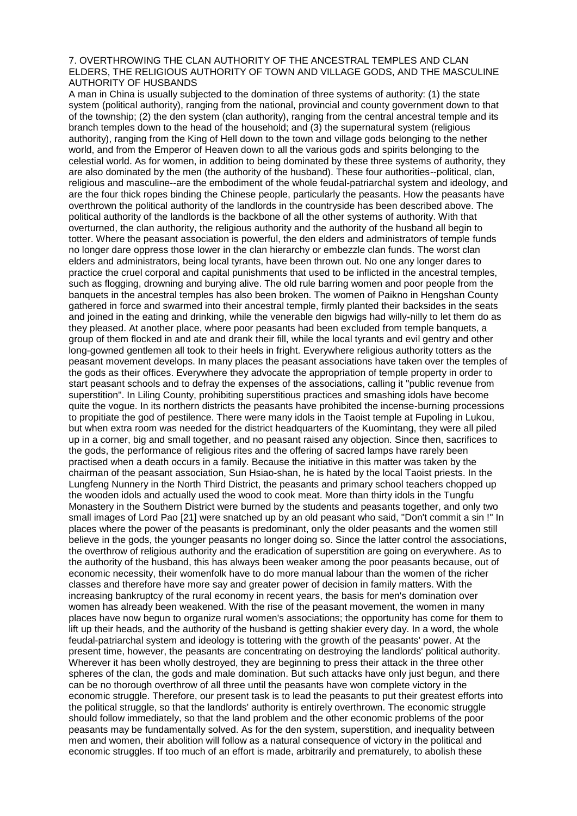#### 7. OVERTHROWING THE CLAN AUTHORITY OF THE ANCESTRAL TEMPLES AND CLAN ELDERS, THE RELIGIOUS AUTHORITY OF TOWN AND VILLAGE GODS, AND THE MASCULINE AUTHORITY OF HUSBANDS

A man in China is usually subjected to the domination of three systems of authority: (1) the state system (political authority), ranging from the national, provincial and county government down to that of the township; (2) the den system (clan authority), ranging from the central ancestral temple and its branch temples down to the head of the household; and (3) the supernatural system (religious authority), ranging from the King of Hell down to the town and village gods belonging to the nether world, and from the Emperor of Heaven down to all the various gods and spirits belonging to the celestial world. As for women, in addition to being dominated by these three systems of authority, they are also dominated by the men (the authority of the husband). These four authorities--political, clan, religious and masculine--are the embodiment of the whole feudal-patriarchal system and ideology, and are the four thick ropes binding the Chinese people, particularly the peasants. How the peasants have overthrown the political authority of the landlords in the countryside has been described above. The political authority of the landlords is the backbone of all the other systems of authority. With that overturned, the clan authority, the religious authority and the authority of the husband all begin to totter. Where the peasant association is powerful, the den elders and administrators of temple funds no longer dare oppress those lower in the clan hierarchy or embezzle clan funds. The worst clan elders and administrators, being local tyrants, have been thrown out. No one any longer dares to practice the cruel corporal and capital punishments that used to be inflicted in the ancestral temples, such as flogging, drowning and burying alive. The old rule barring women and poor people from the banquets in the ancestral temples has also been broken. The women of Paikno in Hengshan County gathered in force and swarmed into their ancestral temple, firmly planted their backsides in the seats and joined in the eating and drinking, while the venerable den bigwigs had willy-nilly to let them do as they pleased. At another place, where poor peasants had been excluded from temple banquets, a group of them flocked in and ate and drank their fill, while the local tyrants and evil gentry and other long-gowned gentlemen all took to their heels in fright. Everywhere religious authority totters as the peasant movement develops. In many places the peasant associations have taken over the temples of the gods as their offices. Everywhere they advocate the appropriation of temple property in order to start peasant schools and to defray the expenses of the associations, calling it "public revenue from superstition". In Liling County, prohibiting superstitious practices and smashing idols have become quite the vogue. In its northern districts the peasants have prohibited the incense-burning processions to propitiate the god of pestilence. There were many idols in the Taoist temple at Fupoling in Lukou, but when extra room was needed for the district headquarters of the Kuomintang, they were all piled up in a corner, big and small together, and no peasant raised any objection. Since then, sacrifices to the gods, the performance of religious rites and the offering of sacred lamps have rarely been practised when a death occurs in a family. Because the initiative in this matter was taken by the chairman of the peasant association, Sun Hsiao-shan, he is hated by the local Taoist priests. In the Lungfeng Nunnery in the North Third District, the peasants and primary school teachers chopped up the wooden idols and actually used the wood to cook meat. More than thirty idols in the Tungfu Monastery in the Southern District were burned by the students and peasants together, and only two small images of Lord Pao [21] were snatched up by an old peasant who said, "Don't commit a sin !" In places where the power of the peasants is predominant, only the older peasants and the women still believe in the gods, the younger peasants no longer doing so. Since the latter control the associations, the overthrow of religious authority and the eradication of superstition are going on everywhere. As to the authority of the husband, this has always been weaker among the poor peasants because, out of economic necessity, their womenfolk have to do more manual labour than the women of the richer classes and therefore have more say and greater power of decision in family matters. With the increasing bankruptcy of the rural economy in recent years, the basis for men's domination over women has already been weakened. With the rise of the peasant movement, the women in many places have now begun to organize rural women's associations; the opportunity has come for them to lift up their heads, and the authority of the husband is getting shakier every day. In a word, the whole feudal-patriarchal system and ideology is tottering with the growth of the peasants' power. At the present time, however, the peasants are concentrating on destroying the landlords' political authority. Wherever it has been wholly destroyed, they are beginning to press their attack in the three other spheres of the clan, the gods and male domination. But such attacks have only just begun, and there can be no thorough overthrow of all three until the peasants have won complete victory in the economic struggle. Therefore, our present task is to lead the peasants to put their greatest efforts into the political struggle, so that the landlords' authority is entirely overthrown. The economic struggle should follow immediately, so that the land problem and the other economic problems of the poor peasants may be fundamentally solved. As for the den system, superstition, and inequality between men and women, their abolition will follow as a natural consequence of victory in the political and economic struggles. If too much of an effort is made, arbitrarily and prematurely, to abolish these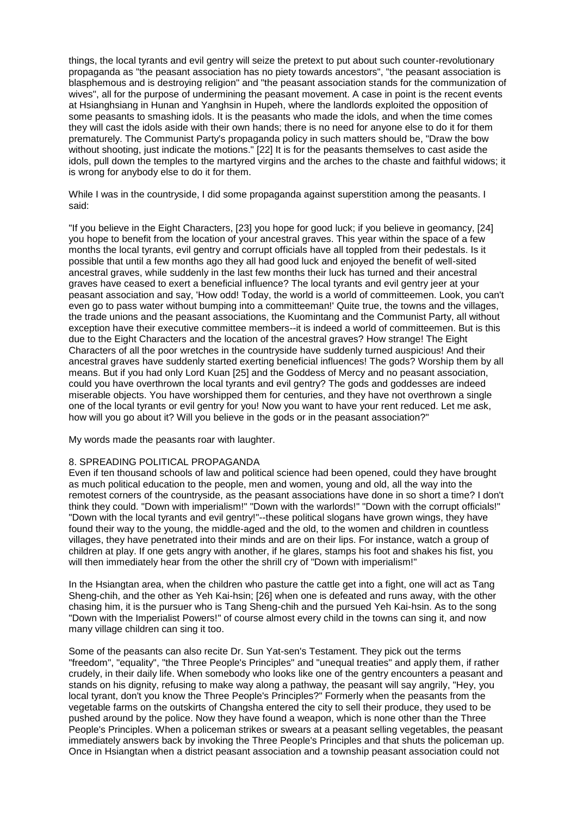things, the local tyrants and evil gentry will seize the pretext to put about such counter-revolutionary propaganda as "the peasant association has no piety towards ancestors", "the peasant association is blasphemous and is destroying religion" and "the peasant association stands for the communization of wives", all for the purpose of undermining the peasant movement. A case in point is the recent events at Hsianghsiang in Hunan and Yanghsin in Hupeh, where the landlords exploited the opposition of some peasants to smashing idols. It is the peasants who made the idols, and when the time comes they will cast the idols aside with their own hands; there is no need for anyone else to do it for them prematurely. The Communist Party's propaganda policy in such matters should be, "Draw the bow without shooting, just indicate the motions." [22] It is for the peasants themselves to cast aside the idols, pull down the temples to the martyred virgins and the arches to the chaste and faithful widows; it is wrong for anybody else to do it for them.

While I was in the countryside, I did some propaganda against superstition among the peasants. I said:

"If you believe in the Eight Characters, [23] you hope for good luck; if you believe in geomancy, [24] you hope to benefit from the location of your ancestral graves. This year within the space of a few months the local tyrants, evil gentry and corrupt officials have all toppled from their pedestals. Is it possible that until a few months ago they all had good luck and enjoyed the benefit of well-sited ancestral graves, while suddenly in the last few months their luck has turned and their ancestral graves have ceased to exert a beneficial influence? The local tyrants and evil gentry jeer at your peasant association and say, 'How odd! Today, the world is a world of committeemen. Look, you can't even go to pass water without bumping into a committeeman!' Quite true, the towns and the villages, the trade unions and the peasant associations, the Kuomintang and the Communist Party, all without exception have their executive committee members--it is indeed a world of committeemen. But is this due to the Eight Characters and the location of the ancestral graves? How strange! The Eight Characters of all the poor wretches in the countryside have suddenly turned auspicious! And their ancestral graves have suddenly started exerting beneficial influences! The gods? Worship them by all means. But if you had only Lord Kuan [25] and the Goddess of Mercy and no peasant association, could you have overthrown the local tyrants and evil gentry? The gods and goddesses are indeed miserable objects. You have worshipped them for centuries, and they have not overthrown a single one of the local tyrants or evil gentry for you! Now you want to have your rent reduced. Let me ask, how will you go about it? Will you believe in the gods or in the peasant association?"

My words made the peasants roar with laughter.

## 8. SPREADING POLITICAL PROPAGANDA

Even if ten thousand schools of law and political science had been opened, could they have brought as much political education to the people, men and women, young and old, all the way into the remotest corners of the countryside, as the peasant associations have done in so short a time? I don't think they could. "Down with imperialism!" "Down with the warlords!" "Down with the corrupt officials!" "Down with the local tyrants and evil gentry!"--these political slogans have grown wings, they have found their way to the young, the middle-aged and the old, to the women and children in countless villages, they have penetrated into their minds and are on their lips. For instance, watch a group of children at play. If one gets angry with another, if he glares, stamps his foot and shakes his fist, you will then immediately hear from the other the shrill cry of "Down with imperialism!"

In the Hsiangtan area, when the children who pasture the cattle get into a fight, one will act as Tang Sheng-chih, and the other as Yeh Kai-hsin; [26] when one is defeated and runs away, with the other chasing him, it is the pursuer who is Tang Sheng-chih and the pursued Yeh Kai-hsin. As to the song "Down with the Imperialist Powers!" of course almost every child in the towns can sing it, and now many village children can sing it too.

Some of the peasants can also recite Dr. Sun Yat-sen's Testament. They pick out the terms "freedom", "equality", "the Three People's Principles" and "unequal treaties" and apply them, if rather crudely, in their daily life. When somebody who looks like one of the gentry encounters a peasant and stands on his dignity, refusing to make way along a pathway, the peasant will say angrily, "Hey, you local tyrant, don't you know the Three People's Principles?" Formerly when the peasants from the vegetable farms on the outskirts of Changsha entered the city to sell their produce, they used to be pushed around by the police. Now they have found a weapon, which is none other than the Three People's Principles. When a policeman strikes or swears at a peasant selling vegetables, the peasant immediately answers back by invoking the Three People's Principles and that shuts the policeman up. Once in Hsiangtan when a district peasant association and a township peasant association could not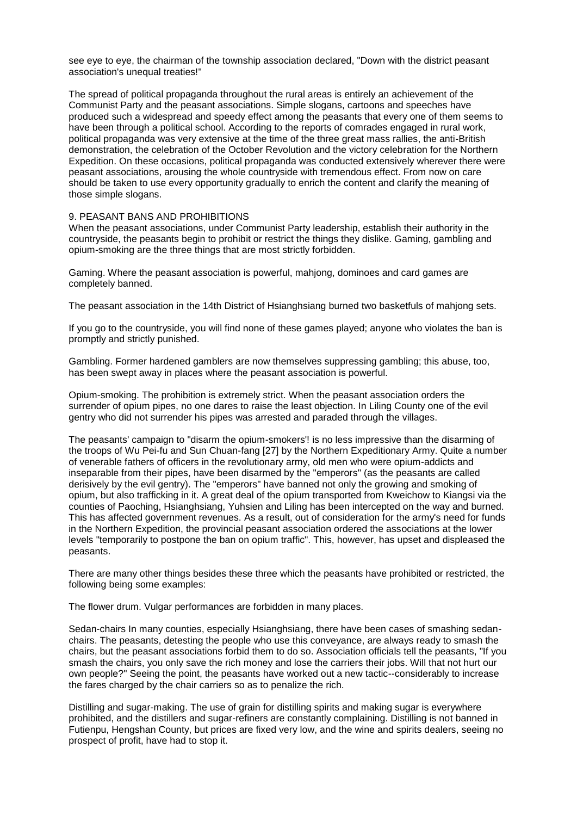see eye to eye, the chairman of the township association declared, "Down with the district peasant association's unequal treaties!"

The spread of political propaganda throughout the rural areas is entirely an achievement of the Communist Party and the peasant associations. Simple slogans, cartoons and speeches have produced such a widespread and speedy effect among the peasants that every one of them seems to have been through a political school. According to the reports of comrades engaged in rural work, political propaganda was very extensive at the time of the three great mass rallies, the anti-British demonstration, the celebration of the October Revolution and the victory celebration for the Northern Expedition. On these occasions, political propaganda was conducted extensively wherever there were peasant associations, arousing the whole countryside with tremendous effect. From now on care should be taken to use every opportunity gradually to enrich the content and clarify the meaning of those simple slogans.

#### 9. PEASANT BANS AND PROHIBITIONS

When the peasant associations, under Communist Party leadership, establish their authority in the countryside, the peasants begin to prohibit or restrict the things they dislike. Gaming, gambling and opium-smoking are the three things that are most strictly forbidden.

Gaming. Where the peasant association is powerful, mahjong, dominoes and card games are completely banned.

The peasant association in the 14th District of Hsianghsiang burned two basketfuls of mahjong sets.

If you go to the countryside, you will find none of these games played; anyone who violates the ban is promptly and strictly punished.

Gambling. Former hardened gamblers are now themselves suppressing gambling; this abuse, too, has been swept away in places where the peasant association is powerful.

Opium-smoking. The prohibition is extremely strict. When the peasant association orders the surrender of opium pipes, no one dares to raise the least objection. In Liling County one of the evil gentry who did not surrender his pipes was arrested and paraded through the villages.

The peasants' campaign to "disarm the opium-smokers'! is no less impressive than the disarming of the troops of Wu Pei-fu and Sun Chuan-fang [27] by the Northern Expeditionary Army. Quite a number of venerable fathers of officers in the revolutionary army, old men who were opium-addicts and inseparable from their pipes, have been disarmed by the "emperors" (as the peasants are called derisively by the evil gentry). The "emperors" have banned not only the growing and smoking of opium, but also trafficking in it. A great deal of the opium transported from Kweichow to Kiangsi via the counties of Paoching, Hsianghsiang, Yuhsien and Liling has been intercepted on the way and burned. This has affected government revenues. As a result, out of consideration for the army's need for funds in the Northern Expedition, the provincial peasant association ordered the associations at the lower levels "temporarily to postpone the ban on opium traffic". This, however, has upset and displeased the peasants.

There are many other things besides these three which the peasants have prohibited or restricted, the following being some examples:

The flower drum. Vulgar performances are forbidden in many places.

Sedan-chairs In many counties, especially Hsianghsiang, there have been cases of smashing sedanchairs. The peasants, detesting the people who use this conveyance, are always ready to smash the chairs, but the peasant associations forbid them to do so. Association officials tell the peasants, "If you smash the chairs, you only save the rich money and lose the carriers their jobs. Will that not hurt our own people?" Seeing the point, the peasants have worked out a new tactic--considerably to increase the fares charged by the chair carriers so as to penalize the rich.

Distilling and sugar-making. The use of grain for distilling spirits and making sugar is everywhere prohibited, and the distillers and sugar-refiners are constantly complaining. Distilling is not banned in Futienpu, Hengshan County, but prices are fixed very low, and the wine and spirits dealers, seeing no prospect of profit, have had to stop it.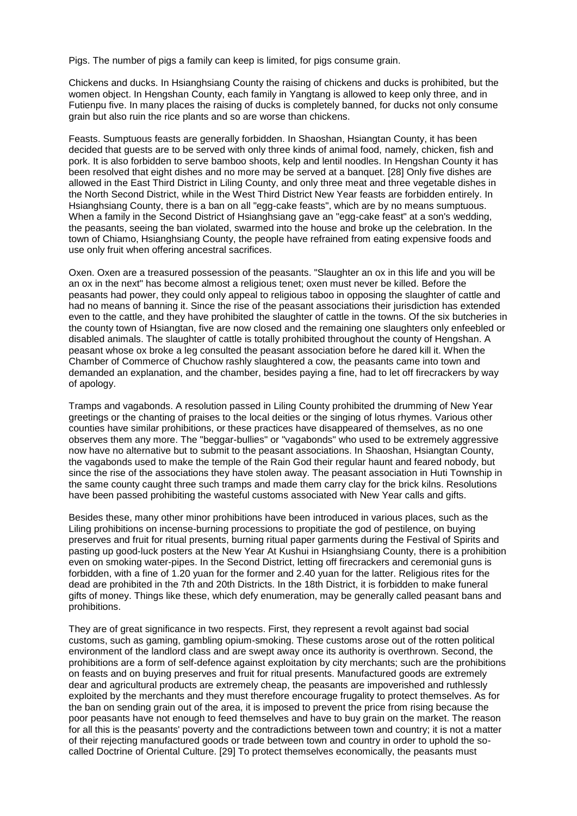Pigs. The number of pigs a family can keep is limited, for pigs consume grain.

Chickens and ducks. In Hsianghsiang County the raising of chickens and ducks is prohibited, but the women object. In Hengshan County, each family in Yangtang is allowed to keep only three, and in Futienpu five. In many places the raising of ducks is completely banned, for ducks not only consume grain but also ruin the rice plants and so are worse than chickens.

Feasts. Sumptuous feasts are generally forbidden. In Shaoshan, Hsiangtan County, it has been decided that guests are to be served with only three kinds of animal food, namely, chicken, fish and pork. It is also forbidden to serve bamboo shoots, kelp and lentil noodles. In Hengshan County it has been resolved that eight dishes and no more may be served at a banquet. [28] Only five dishes are allowed in the East Third District in Liling County, and only three meat and three vegetable dishes in the North Second District, while in the West Third District New Year feasts are forbidden entirely. In Hsianghsiang County, there is a ban on all "egg-cake feasts", which are by no means sumptuous. When a family in the Second District of Hsianghsiang gave an "egg-cake feast" at a son's wedding, the peasants, seeing the ban violated, swarmed into the house and broke up the celebration. In the town of Chiamo, Hsianghsiang County, the people have refrained from eating expensive foods and use only fruit when offering ancestral sacrifices.

Oxen. Oxen are a treasured possession of the peasants. "Slaughter an ox in this life and you will be an ox in the next" has become almost a religious tenet; oxen must never be killed. Before the peasants had power, they could only appeal to religious taboo in opposing the slaughter of cattle and had no means of banning it. Since the rise of the peasant associations their jurisdiction has extended even to the cattle, and they have prohibited the slaughter of cattle in the towns. Of the six butcheries in the county town of Hsiangtan, five are now closed and the remaining one slaughters only enfeebled or disabled animals. The slaughter of cattle is totally prohibited throughout the county of Hengshan. A peasant whose ox broke a leg consulted the peasant association before he dared kill it. When the Chamber of Commerce of Chuchow rashly slaughtered a cow, the peasants came into town and demanded an explanation, and the chamber, besides paying a fine, had to let off firecrackers by way of apology.

Tramps and vagabonds. A resolution passed in Liling County prohibited the drumming of New Year greetings or the chanting of praises to the local deities or the singing of lotus rhymes. Various other counties have similar prohibitions, or these practices have disappeared of themselves, as no one observes them any more. The "beggar-bullies" or "vagabonds" who used to be extremely aggressive now have no alternative but to submit to the peasant associations. In Shaoshan, Hsiangtan County, the vagabonds used to make the temple of the Rain God their regular haunt and feared nobody, but since the rise of the associations they have stolen away. The peasant association in Huti Township in the same county caught three such tramps and made them carry clay for the brick kilns. Resolutions have been passed prohibiting the wasteful customs associated with New Year calls and gifts.

Besides these, many other minor prohibitions have been introduced in various places, such as the Liling prohibitions on incense-burning processions to propitiate the god of pestilence, on buying preserves and fruit for ritual presents, burning ritual paper garments during the Festival of Spirits and pasting up good-luck posters at the New Year At Kushui in Hsianghsiang County, there is a prohibition even on smoking water-pipes. In the Second District, letting off firecrackers and ceremonial guns is forbidden, with a fine of 1.20 yuan for the former and 2.40 yuan for the latter. Religious rites for the dead are prohibited in the 7th and 20th Districts. In the 18th District, it is forbidden to make funeral gifts of money. Things like these, which defy enumeration, may be generally called peasant bans and prohibitions.

They are of great significance in two respects. First, they represent a revolt against bad social customs, such as gaming, gambling opium-smoking. These customs arose out of the rotten political environment of the landlord class and are swept away once its authority is overthrown. Second, the prohibitions are a form of self-defence against exploitation by city merchants; such are the prohibitions on feasts and on buying preserves and fruit for ritual presents. Manufactured goods are extremely dear and agricultural products are extremely cheap, the peasants are impoverished and ruthlessly exploited by the merchants and they must therefore encourage frugality to protect themselves. As for the ban on sending grain out of the area, it is imposed to prevent the price from rising because the poor peasants have not enough to feed themselves and have to buy grain on the market. The reason for all this is the peasants' poverty and the contradictions between town and country; it is not a matter of their rejecting manufactured goods or trade between town and country in order to uphold the socalled Doctrine of Oriental Culture. [29] To protect themselves economically, the peasants must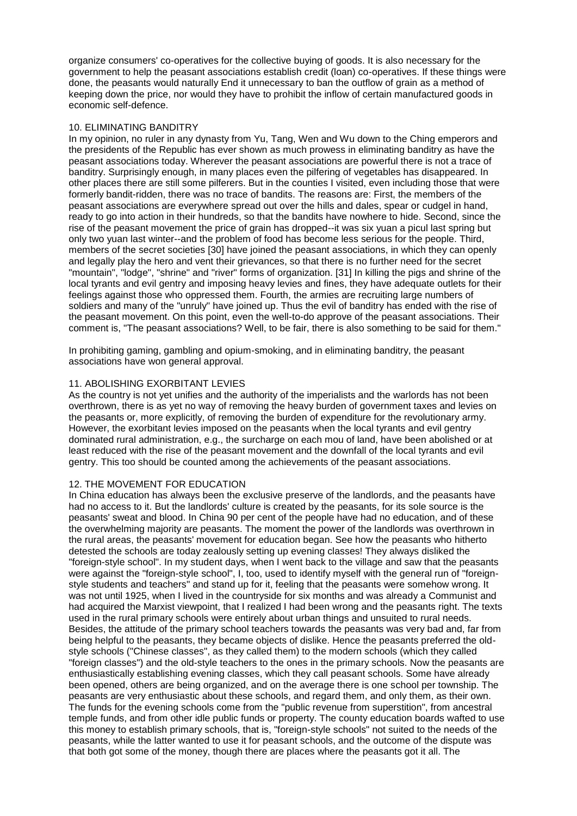organize consumers' co-operatives for the collective buying of goods. It is also necessary for the government to help the peasant associations establish credit (loan) co-operatives. If these things were done, the peasants would naturally End it unnecessary to ban the outflow of grain as a method of keeping down the price, nor would they have to prohibit the inflow of certain manufactured goods in economic self-defence.

## 10. ELIMINATING BANDITRY

In my opinion, no ruler in any dynasty from Yu, Tang, Wen and Wu down to the Ching emperors and the presidents of the Republic has ever shown as much prowess in eliminating banditry as have the peasant associations today. Wherever the peasant associations are powerful there is not a trace of banditry. Surprisingly enough, in many places even the pilfering of vegetables has disappeared. In other places there are still some pilferers. But in the counties I visited, even including those that were formerly bandit-ridden, there was no trace of bandits. The reasons are: First, the members of the peasant associations are everywhere spread out over the hills and dales, spear or cudgel in hand, ready to go into action in their hundreds, so that the bandits have nowhere to hide. Second, since the rise of the peasant movement the price of grain has dropped--it was six yuan a picul last spring but only two yuan last winter--and the problem of food has become less serious for the people. Third, members of the secret societies [30] have joined the peasant associations, in which they can openly and legally play the hero and vent their grievances, so that there is no further need for the secret "mountain", "lodge", "shrine" and "river" forms of organization. [31] In killing the pigs and shrine of the local tyrants and evil gentry and imposing heavy levies and fines, they have adequate outlets for their feelings against those who oppressed them. Fourth, the armies are recruiting large numbers of soldiers and many of the "unruly" have joined up. Thus the evil of banditry has ended with the rise of the peasant movement. On this point, even the well-to-do approve of the peasant associations. Their comment is, "The peasant associations? Well, to be fair, there is also something to be said for them."

In prohibiting gaming, gambling and opium-smoking, and in eliminating banditry, the peasant associations have won general approval.

#### 11. ABOLISHING EXORBITANT LEVIES

As the country is not yet unifies and the authority of the imperialists and the warlords has not been overthrown, there is as yet no way of removing the heavy burden of government taxes and levies on the peasants or, more explicitly, of removing the burden of expenditure for the revolutionary army. However, the exorbitant levies imposed on the peasants when the local tyrants and evil gentry dominated rural administration, e.g., the surcharge on each mou of land, have been abolished or at least reduced with the rise of the peasant movement and the downfall of the local tyrants and evil gentry. This too should be counted among the achievements of the peasant associations.

#### 12. THE MOVEMENT FOR EDUCATION

In China education has always been the exclusive preserve of the landlords, and the peasants have had no access to it. But the landlords' culture is created by the peasants, for its sole source is the peasants' sweat and blood. In China 90 per cent of the people have had no education, and of these the overwhelming majority are peasants. The moment the power of the landlords was overthrown in the rural areas, the peasants' movement for education began. See how the peasants who hitherto detested the schools are today zealously setting up evening classes! They always disliked the "foreign-style school". In my student days, when I went back to the village and saw that the peasants were against the "foreign-style school", I, too, used to identify myself with the general run of "foreignstyle students and teachers" and stand up for it, feeling that the peasants were somehow wrong. It was not until 1925, when I lived in the countryside for six months and was already a Communist and had acquired the Marxist viewpoint, that I realized I had been wrong and the peasants right. The texts used in the rural primary schools were entirely about urban things and unsuited to rural needs. Besides, the attitude of the primary school teachers towards the peasants was very bad and, far from being helpful to the peasants, they became objects of dislike. Hence the peasants preferred the oldstyle schools ("Chinese classes", as they called them) to the modern schools (which they called "foreign classes") and the old-style teachers to the ones in the primary schools. Now the peasants are enthusiastically establishing evening classes, which they call peasant schools. Some have already been opened, others are being organized, and on the average there is one school per township. The peasants are very enthusiastic about these schools, and regard them, and only them, as their own. The funds for the evening schools come from the "public revenue from superstition", from ancestral temple funds, and from other idle public funds or property. The county education boards wafted to use this money to establish primary schools, that is, "foreign-style schools" not suited to the needs of the peasants, while the latter wanted to use it for peasant schools, and the outcome of the dispute was that both got some of the money, though there are places where the peasants got it all. The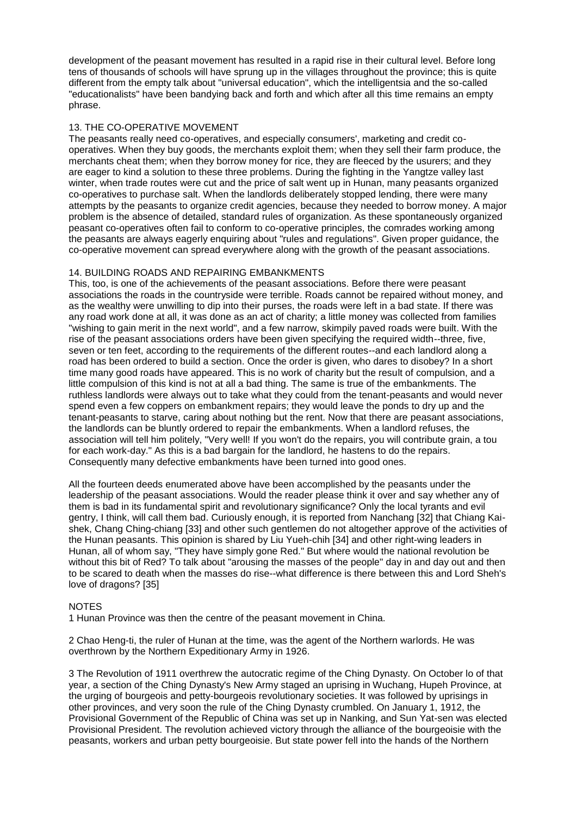development of the peasant movement has resulted in a rapid rise in their cultural level. Before long tens of thousands of schools will have sprung up in the villages throughout the province; this is quite different from the empty talk about "universal education", which the intelligentsia and the so-called "educationalists" have been bandying back and forth and which after all this time remains an empty phrase.

## 13. THE CO-OPERATIVE MOVEMENT

The peasants really need co-operatives, and especially consumers', marketing and credit cooperatives. When they buy goods, the merchants exploit them; when they sell their farm produce, the merchants cheat them; when they borrow money for rice, they are fleeced by the usurers; and they are eager to kind a solution to these three problems. During the fighting in the Yangtze valley last winter, when trade routes were cut and the price of salt went up in Hunan, many peasants organized co-operatives to purchase salt. When the landlords deliberately stopped lending, there were many attempts by the peasants to organize credit agencies, because they needed to borrow money. A major problem is the absence of detailed, standard rules of organization. As these spontaneously organized peasant co-operatives often fail to conform to co-operative principles, the comrades working among the peasants are always eagerly enquiring about "rules and regulations". Given proper guidance, the co-operative movement can spread everywhere along with the growth of the peasant associations.

## 14. BUILDING ROADS AND REPAIRING EMBANKMENTS

This, too, is one of the achievements of the peasant associations. Before there were peasant associations the roads in the countryside were terrible. Roads cannot be repaired without money, and as the wealthy were unwilling to dip into their purses, the roads were left in a bad state. If there was any road work done at all, it was done as an act of charity; a little money was collected from families "wishing to gain merit in the next world", and a few narrow, skimpily paved roads were built. With the rise of the peasant associations orders have been given specifying the required width--three, five, seven or ten feet, according to the requirements of the different routes--and each landlord along a road has been ordered to build a section. Once the order is given, who dares to disobey? In a short time many good roads have appeared. This is no work of charity but the result of compulsion, and a little compulsion of this kind is not at all a bad thing. The same is true of the embankments. The ruthless landlords were always out to take what they could from the tenant-peasants and would never spend even a few coppers on embankment repairs; they would leave the ponds to dry up and the tenant-peasants to starve, caring about nothing but the rent. Now that there are peasant associations, the landlords can be bluntly ordered to repair the embankments. When a landlord refuses, the association will tell him politely, "Very well! If you won't do the repairs, you will contribute grain, a tou for each work-day." As this is a bad bargain for the landlord, he hastens to do the repairs. Consequently many defective embankments have been turned into good ones.

All the fourteen deeds enumerated above have been accomplished by the peasants under the leadership of the peasant associations. Would the reader please think it over and say whether any of them is bad in its fundamental spirit and revolutionary significance? Only the local tyrants and evil gentry, I think, will call them bad. Curiously enough, it is reported from Nanchang [32] that Chiang Kaishek, Chang Ching-chiang [33] and other such gentlemen do not altogether approve of the activities of the Hunan peasants. This opinion is shared by Liu Yueh-chih [34] and other right-wing leaders in Hunan, all of whom say, "They have simply gone Red." But where would the national revolution be without this bit of Red? To talk about "arousing the masses of the people" day in and day out and then to be scared to death when the masses do rise--what difference is there between this and Lord Sheh's love of dragons? [35]

#### NOTES

1 Hunan Province was then the centre of the peasant movement in China.

2 Chao Heng-ti, the ruler of Hunan at the time, was the agent of the Northern warlords. He was overthrown by the Northern Expeditionary Army in 1926.

3 The Revolution of 1911 overthrew the autocratic regime of the Ching Dynasty. On October lo of that year, a section of the Ching Dynasty's New Army staged an uprising in Wuchang, Hupeh Province, at the urging of bourgeois and petty-bourgeois revolutionary societies. It was followed by uprisings in other provinces, and very soon the rule of the Ching Dynasty crumbled. On January 1, 1912, the Provisional Government of the Republic of China was set up in Nanking, and Sun Yat-sen was elected Provisional President. The revolution achieved victory through the alliance of the bourgeoisie with the peasants, workers and urban petty bourgeoisie. But state power fell into the hands of the Northern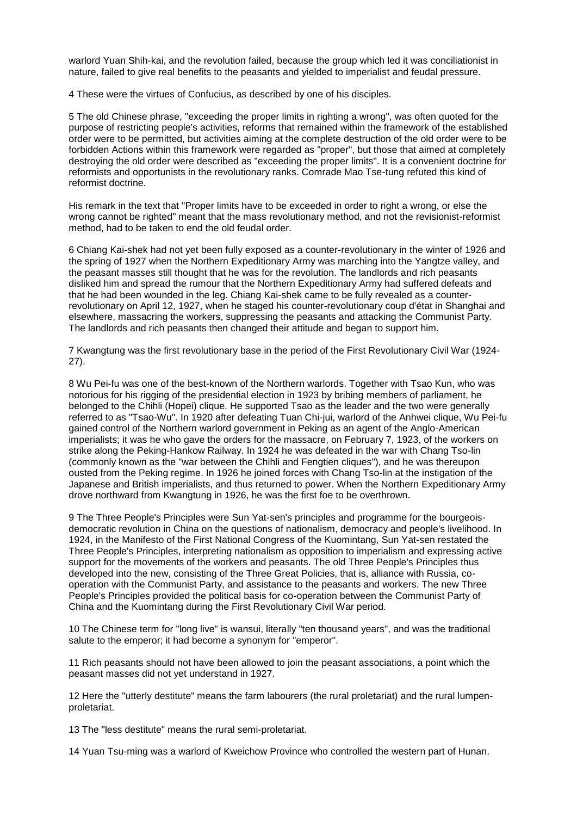warlord Yuan Shih-kai, and the revolution failed, because the group which led it was conciliationist in nature, failed to give real benefits to the peasants and yielded to imperialist and feudal pressure.

4 These were the virtues of Confucius, as described by one of his disciples.

5 The old Chinese phrase, "exceeding the proper limits in righting a wrong", was often quoted for the purpose of restricting people's activities, reforms that remained within the framework of the established order were to be permitted, but activities aiming at the complete destruction of the old order were to be forbidden Actions within this framework were regarded as "proper", but those that aimed at completely destroying the old order were described as "exceeding the proper limits". It is a convenient doctrine for reformists and opportunists in the revolutionary ranks. Comrade Mao Tse-tung refuted this kind of reformist doctrine.

His remark in the text that "Proper limits have to be exceeded in order to right a wrong, or else the wrong cannot be righted" meant that the mass revolutionary method, and not the revisionist-reformist method, had to be taken to end the old feudal order.

6 Chiang Kai-shek had not yet been fully exposed as a counter-revolutionary in the winter of 1926 and the spring of 1927 when the Northern Expeditionary Army was marching into the Yangtze valley, and the peasant masses still thought that he was for the revolution. The landlords and rich peasants disliked him and spread the rumour that the Northern Expeditionary Army had suffered defeats and that he had been wounded in the leg. Chiang Kai-shek came to be fully revealed as a counterrevolutionary on April 12, 1927, when he staged his counter-revolutionary coup d'état in Shanghai and elsewhere, massacring the workers, suppressing the peasants and attacking the Communist Party. The landlords and rich peasants then changed their attitude and began to support him.

7 Kwangtung was the first revolutionary base in the period of the First Revolutionary Civil War (1924- 27).

8 Wu Pei-fu was one of the best-known of the Northern warlords. Together with Tsao Kun, who was notorious for his rigging of the presidential election in 1923 by bribing members of parliament, he belonged to the Chihli (Hopei) clique. He supported Tsao as the leader and the two were generally referred to as "Tsao-Wu". In 1920 after defeating Tuan Chi-jui, warlord of the Anhwei clique, Wu Pei-fu gained control of the Northern warlord government in Peking as an agent of the Anglo-American imperialists; it was he who gave the orders for the massacre, on February 7, 1923, of the workers on strike along the Peking-Hankow Railway. In 1924 he was defeated in the war with Chang Tso-lin (commonly known as the "war between the Chihli and Fengtien cliques"), and he was thereupon ousted from the Peking regime. In 1926 he joined forces with Chang Tso-lin at the instigation of the Japanese and British imperialists, and thus returned to power. When the Northern Expeditionary Army drove northward from Kwangtung in 1926, he was the first foe to be overthrown.

9 The Three People's Principles were Sun Yat-sen's principles and programme for the bourgeoisdemocratic revolution in China on the questions of nationalism, democracy and people's livelihood. In 1924, in the Manifesto of the First National Congress of the Kuomintang, Sun Yat-sen restated the Three People's Principles, interpreting nationalism as opposition to imperialism and expressing active support for the movements of the workers and peasants. The old Three People's Principles thus developed into the new, consisting of the Three Great Policies, that is, alliance with Russia, cooperation with the Communist Party, and assistance to the peasants and workers. The new Three People's Principles provided the political basis for co-operation between the Communist Party of China and the Kuomintang during the First Revolutionary Civil War period.

10 The Chinese term for "long live" is wansui, literally "ten thousand years", and was the traditional salute to the emperor; it had become a synonym for "emperor".

11 Rich peasants should not have been allowed to join the peasant associations, a point which the peasant masses did not yet understand in 1927.

12 Here the "utterly destitute" means the farm labourers (the rural proletariat) and the rural lumpenproletariat.

13 The "less destitute" means the rural semi-proletariat.

14 Yuan Tsu-ming was a warlord of Kweichow Province who controlled the western part of Hunan.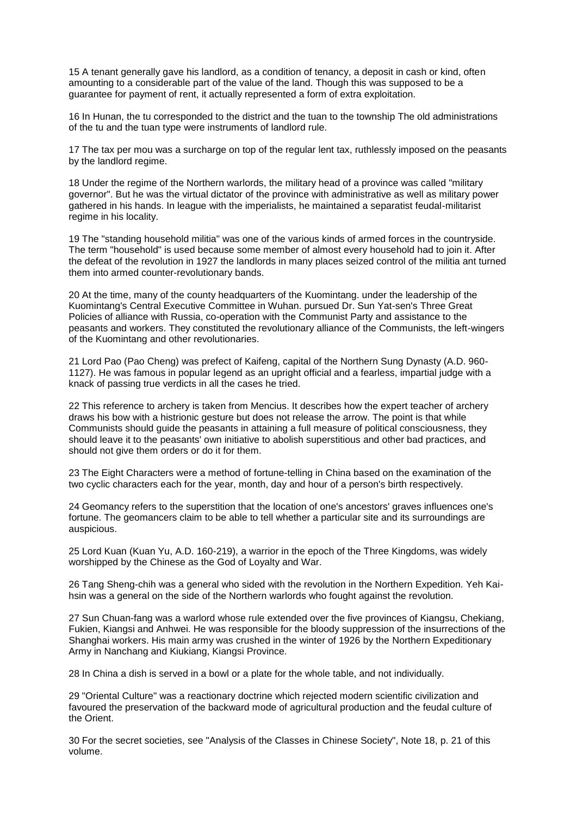15 A tenant generally gave his landlord, as a condition of tenancy, a deposit in cash or kind, often amounting to a considerable part of the value of the land. Though this was supposed to be a guarantee for payment of rent, it actually represented a form of extra exploitation.

16 In Hunan, the tu corresponded to the district and the tuan to the township The old administrations of the tu and the tuan type were instruments of landlord rule.

17 The tax per mou was a surcharge on top of the regular lent tax, ruthlessly imposed on the peasants by the landlord regime.

18 Under the regime of the Northern warlords, the military head of a province was called "military governor". But he was the virtual dictator of the province with administrative as well as military power gathered in his hands. In league with the imperialists, he maintained a separatist feudal-militarist regime in his locality.

19 The "standing household militia" was one of the various kinds of armed forces in the countryside. The term "household" is used because some member of almost every household had to join it. After the defeat of the revolution in 1927 the landlords in many places seized control of the militia ant turned them into armed counter-revolutionary bands.

20 At the time, many of the county headquarters of the Kuomintang. under the leadership of the Kuomintang's Central Executive Committee in Wuhan. pursued Dr. Sun Yat-sen's Three Great Policies of alliance with Russia, co-operation with the Communist Party and assistance to the peasants and workers. They constituted the revolutionary alliance of the Communists, the left-wingers of the Kuomintang and other revolutionaries.

21 Lord Pao (Pao Cheng) was prefect of Kaifeng, capital of the Northern Sung Dynasty (A.D. 960- 1127). He was famous in popular legend as an upright official and a fearless, impartial judge with a knack of passing true verdicts in all the cases he tried.

22 This reference to archery is taken from Mencius. It describes how the expert teacher of archery draws his bow with a histrionic gesture but does not release the arrow. The point is that while Communists should guide the peasants in attaining a full measure of political consciousness, they should leave it to the peasants' own initiative to abolish superstitious and other bad practices, and should not give them orders or do it for them.

23 The Eight Characters were a method of fortune-telling in China based on the examination of the two cyclic characters each for the year, month, day and hour of a person's birth respectively.

24 Geomancy refers to the superstition that the location of one's ancestors' graves influences one's fortune. The geomancers claim to be able to tell whether a particular site and its surroundings are auspicious.

25 Lord Kuan (Kuan Yu, A.D. 160-219), a warrior in the epoch of the Three Kingdoms, was widely worshipped by the Chinese as the God of Loyalty and War.

26 Tang Sheng-chih was a general who sided with the revolution in the Northern Expedition. Yeh Kaihsin was a general on the side of the Northern warlords who fought against the revolution.

27 Sun Chuan-fang was a warlord whose rule extended over the five provinces of Kiangsu, Chekiang, Fukien, Kiangsi and Anhwei. He was responsible for the bloody suppression of the insurrections of the Shanghai workers. His main army was crushed in the winter of 1926 by the Northern Expeditionary Army in Nanchang and Kiukiang, Kiangsi Province.

28 In China a dish is served in a bowl or a plate for the whole table, and not individually.

29 "Oriental Culture" was a reactionary doctrine which rejected modern scientific civilization and favoured the preservation of the backward mode of agricultural production and the feudal culture of the Orient.

30 For the secret societies, see "Analysis of the Classes in Chinese Society", Note 18, p. 21 of this volume.